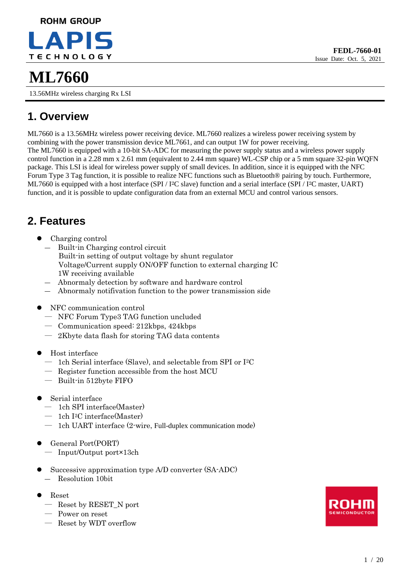# **ROHM GROUP TECHNOLOGY**

13.56MHz wireless charging Rx LSI

# **1. Overview**

ML7660 is a 13.56MHz wireless power receiving device. ML7660 realizes a wireless power receiving system by combining with the power transmission device ML7661, and can output 1W for power receiving. The ML7660 is equipped with a 10-bit SA-ADC for measuring the power supply status and a wireless power supply control function in a 2.28 mm x 2.61 mm (equivalent to 2.44 mm square) WL-CSP chip or a 5 mm square 32-pin WQFN package. This LSI is ideal for wireless power supply of small devices. In addition, since it is equipped with the NFC Forum Type 3 Tag function, it is possible to realize NFC functions such as Bluetooth® pairing by touch. Furthermore, ML7660 is equipped with a host interface (SPI / I2C slave) function and a serial interface (SPI / I2C master, UART) function, and it is possible to update configuration data from an external MCU and control various sensors.

# **2. Features**

- ⚫ Charging control
	- Built-in Charging control circuit Built-in setting of output voltage by shunt regulator Voltage/Current supply ON/OFF function to external charging IC 1W receiving available
	- ― Abnormaly detection by software and hardware control
	- ― Abnormaly notifivation function to the power transmission side
- ⚫ NFC communication control
	- ― NFC Forum Type3 TAG function uncluded
	- ― Communication speed: 212kbps, 424kbps
	- ― 2Kbyte data flash for storing TAG data contents
- ⚫ Host interface
	- ― 1ch Serial interface (Slave), and selectable from SPI or I <sup>2</sup>C
	- ― Register function accessible from the host MCU
	- ― Built-in 512byte FIFO
- ⚫ Serial interface
	- ― 1ch SPI interface(Master)
	- ― 1ch I <sup>2</sup>C interface(Master)
	- ― 1ch UART interface (2-wire, Full-duplex communication mode)
- ⚫ General Port(PORT)
	- ― Input/Output port×13ch
- Successive approximation type A/D converter (SA-ADC)
	- ― Resolution 10bit
- ⚫ Reset
	- ― Reset by RESET\_N port
	- ― Power on reset
	- ― Reset by WDT overflow

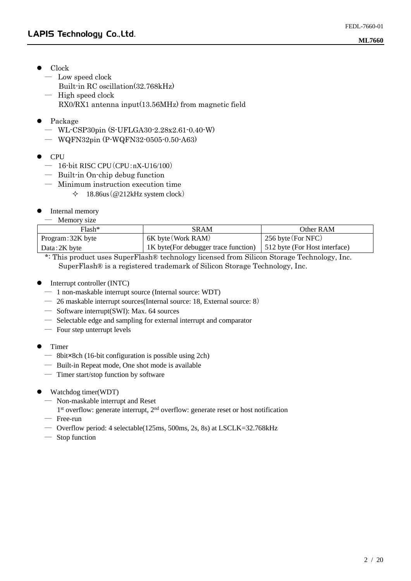- Clock
	- ― Low speed clock
		- Built-in RC oscillation(32.768kHz)
	- ― High speed clock RX0/RX1 antenna input(13.56MHz) from magnetic field
- ⚫ Package
	- ― WL-CSP30pin (S-UFLGA30-2.28x2.61-0.40-W)
	- ― WQFN32pin (P-WQFN32-0505-0.50-A63)
- ⚫ CPU
	- ― 16-bit RISC CPU(CPU:nX-U16/100)
	- ― Built-in On-chip debug function
	- ― Minimum instruction execution time
		- $\div$  18.86us (@212kHz system clock)
- Internal memory
	- ― Memory size

| $Flash*$          | <b>SRAM</b>                           | Other RAM                     |
|-------------------|---------------------------------------|-------------------------------|
| Program: 32K byte | 6K byte (Work RAM)                    | 256 byte (For NFC)            |
| Data: 2K byte     | 1K byte (For debugger trace function) | 512 byte (For Host interface) |

\*: This product uses SuperFlash® technology licensed from Silicon Storage Technology, Inc. SuperFlash® is a registered trademark of Silicon Storage Technology, Inc.

- ⚫ Interrupt controller (INTC)
	- ― 1 non-maskable interrupt source (Internal source: WDT)
	- ― 26 maskable interrupt sources(Internal source: 18, External source: 8)
	- ― Software interrupt(SWI): Max. 64 sources
	- ― Selectable edge and sampling for external interrupt and comparator
	- ― Four step unterrupt levels
- ⚫ Timer
	- ― 8bit×8ch (16-bit configuration is possible using 2ch)
	- ― Built-in Repeat mode, One shot mode is available
	- ― Timer start/stop function by software
- ⚫ Watchdog timer(WDT)
	- ― Non-maskable interrupt and Reset
	- 1<sup>st</sup> overflow: generate interrupt, 2<sup>nd</sup> overflow: generate reset or host notification
	- ― Free-run
	- ― Overflow period: 4 selectable(125ms, 500ms, 2s, 8s) at LSCLK=32.768kHz
	- ― Stop function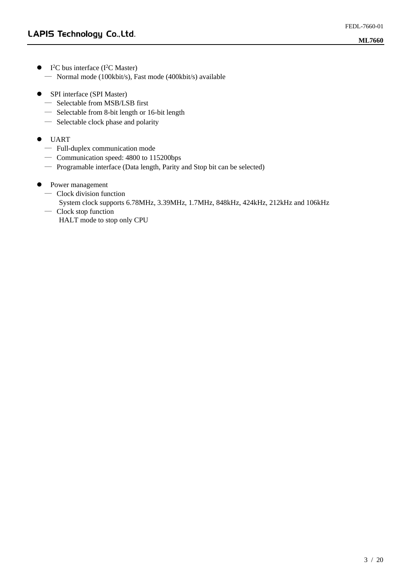- $\bullet$  I<sup>2</sup>C bus interface (I<sup>2</sup>C Master) ― Normal mode (100kbit/s), Fast mode (400kbit/s) available
- SPI interface (SPI Master)
	- ― Selectable from MSB/LSB first
	- ― Selectable from 8-bit length or 16-bit length
	- ― Selectable clock phase and polarity
- ⚫ UART
	- ― Full-duplex communication mode
	- ― Communication speed: 4800 to 115200bps
	- ― Programable interface (Data length, Parity and Stop bit can be selected)
- Power management
	- ― Clock division function
		- System clock supports 6.78MHz, 3.39MHz, 1.7MHz, 848kHz, 424kHz, 212kHz and 106kHz
	- ― Clock stop function HALT mode to stop only CPU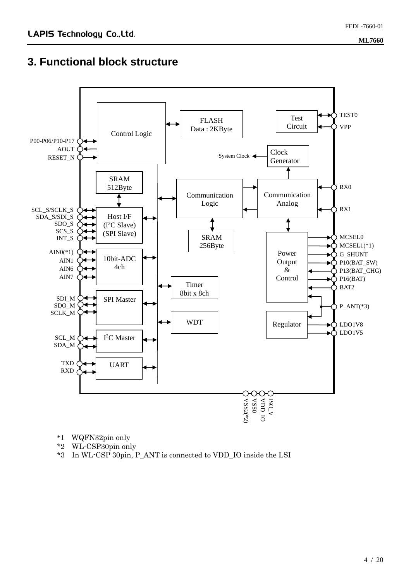# **3. Functional block structure**



\*1 WQFN32pin only

- \*2 WL-CSP30pin only
- \*3 In WL-CSP 30pin, P\_ANT is connected to VDD\_IO inside the LSI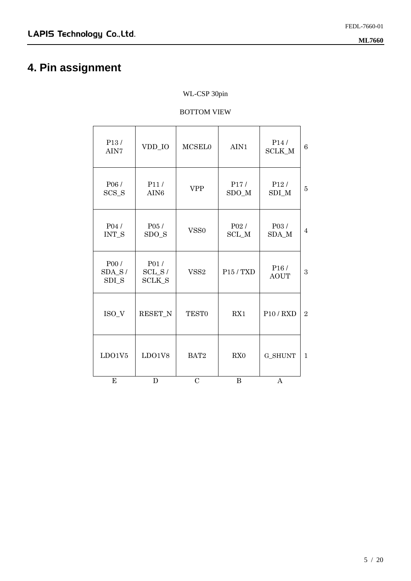# **4. Pin assignment**

#### WL-CSP 30pin

#### BOTTOM VIEW

| LDO1V5                     | LDO1V8                            |                  |                                   |                                  |                |
|----------------------------|-----------------------------------|------------------|-----------------------------------|----------------------------------|----------------|
|                            |                                   | BAT2             | RX <sub>0</sub>                   | <b>G_SHUNT</b>                   | $\mathbf{1}$   |
| ISO_V                      | <b>RESET N</b>                    | <b>TEST0</b>     | RX1                               | P10/RXD                          | $\overline{2}$ |
| P00 /<br>$SDA_S/$<br>SDI_S | P01/<br>$SCL_S/$<br><b>SCLK_S</b> | VSS <sub>2</sub> | P <sub>15</sub> / T <sub>XD</sub> | P <sub>16</sub> /<br><b>AOUT</b> | 3              |
| P04 /<br>INT_S             | P05 /<br>$SDO_S$                  | VSS <sub>0</sub> | P02/<br>$\rm SCL\_M$              | P03/<br>SDA_M                    | $\overline{4}$ |
| P06/<br>$SCS_S$            | P11/<br>AIN <sub>6</sub>          | <b>VPP</b>       | P17/<br>$SDO_M$                   | P <sub>12</sub> /<br>SDI M       | $\overline{5}$ |
| P <sub>13</sub> /<br>AIN7  | VDD_IO                            | MCSELO           | AIN1                              | P <sub>14</sub> /<br>SCLK_M      | 6              |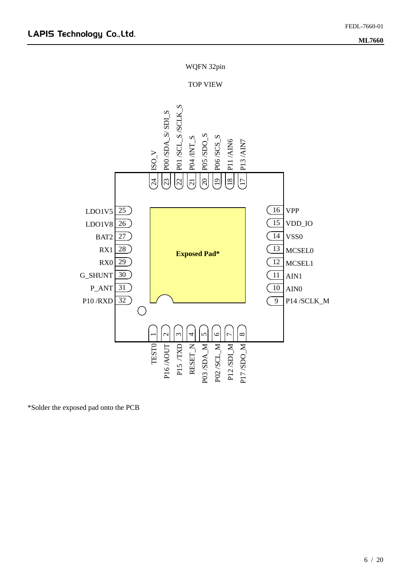WQFN 32pin

#### TOP VIEW



\*Solder the exposed pad onto the PCB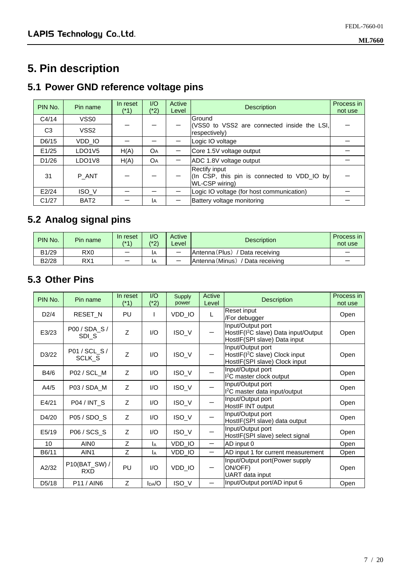# **5. Pin description**

### **5.1 Power GND reference voltage pins**

| PIN No.        | Pin name                        | In reset<br>(*1) | $\overline{1}/\overline{O}$<br>(*2) | Active<br>Level | <b>Description</b>                                                             | Process in<br>not use |
|----------------|---------------------------------|------------------|-------------------------------------|-----------------|--------------------------------------------------------------------------------|-----------------------|
| C4/14          | VSS <sub>0</sub>                |                  |                                     |                 | Ground                                                                         |                       |
| C <sub>3</sub> | VSS2                            |                  |                                     |                 | (VSS0 to VSS2 are connected inside the LSI,<br>respectively)                   |                       |
| D6/15          | VDD IO                          |                  |                                     |                 | Logic IO voltage                                                               |                       |
| E1/25          | LDO <sub>1</sub> V <sub>5</sub> | H(A)             | OА                                  |                 | Core 1.5V voltage output                                                       |                       |
| D1/26          | LDO <sub>1</sub> V <sub>8</sub> | H(A)             | OA                                  |                 | ADC 1.8V voltage output                                                        |                       |
| 31             | P ANT                           |                  |                                     |                 | Rectify input<br>(In CSP, this pin is connected to VDD_IO by<br>WL-CSP wiring) |                       |
| E2/24          | ISO V                           |                  |                                     |                 | Logic IO voltage (for host communication)                                      |                       |
| C1/27          | BAT <sub>2</sub>                |                  | IА                                  |                 | Battery voltage monitoring                                                     |                       |

### **5.2 Analog signal pins**

| PIN No. | Pin name        | In reset<br>$( * 1)$ | I/O<br>(*2) | Active<br>Level          | <b>Description</b>                  | Process in I<br>not use |
|---------|-----------------|----------------------|-------------|--------------------------|-------------------------------------|-------------------------|
| B1/29   | R <sub>X0</sub> | –                    | IΑ          | $\overline{\phantom{0}}$ | Antenna (Plus)<br>/ Data receiving  |                         |
| B2/28   | RX <sub>1</sub> |                      | ΙA          |                          | Antenna (Minus)<br>/ Data receiving |                         |

### **5.3 Other Pins**

| PIN No.            | Pin name                    | In reset<br>(*1) | I/O<br>$(*2)$ | <b>Supply</b><br>power | Active<br>Level          | <b>Description</b>                                                                                    | Process in<br>not use |
|--------------------|-----------------------------|------------------|---------------|------------------------|--------------------------|-------------------------------------------------------------------------------------------------------|-----------------------|
| D2/4               | RESET_N                     | PU               |               | VDD_IO                 | L                        | Reset input<br>/For debugger                                                                          | Open                  |
| E3/23              | P00 / SDA_S /<br>SDIS       | Z                | 1/O           | ISO_V                  | $\overline{\phantom{0}}$ | Input/Output port<br>HostIF(I <sup>2</sup> C slave) Data input/Output<br>HostIF(SPI slave) Data input | Open                  |
| D3/22              | P01 / SCL_S /<br>SCLK_S     | Z                | 1/O           | ISO_V                  |                          | Input/Output port<br>HostIF(I <sup>2</sup> C slave) Clock input<br>HostIF(SPI slave) Clock input      | Open                  |
| B4/6               | P02 / SCL_M                 | Z                | I/O           | ISO_V                  |                          | Input/Output port<br><sup>2</sup> C master clock output                                               | Open                  |
| A4/5               | P03 / SDA_M                 | Z                | 1/O           | ISO_V                  |                          | Input/Output port<br>I <sup>2</sup> C master data input/output                                        | Open                  |
| E4/21              | P04 / INT_S                 | Z                | 1/O           | ISO_V                  |                          | Input/Output port<br>HostIF INT output                                                                | Open                  |
| D4/20              | P05 / SDO_S                 | Z                | I/O           | ISO_V                  |                          | Input/Output port<br>HostIF(SPI slave) data output                                                    | Open                  |
| E5/19              | P06 / SCS_S                 | Z                | I/O           | ISO_V                  |                          | Input/Output port<br>HostIF(SPI slave) select signal                                                  | Open                  |
| 10                 | AIN <sub>0</sub>            | Z                | IA            | VDD_IO                 | $\qquad \qquad -$        | AD input 0                                                                                            | Open                  |
| B6/11              | AIN1                        | Z                | IA            | VDD_IO                 | $\overline{\phantom{0}}$ | AD input 1 for current measurement                                                                    | Open                  |
| A2/32              | P10(BAT_SW) /<br><b>RXD</b> | PU               | 1/O           | VDD_IO                 | —                        | Input/Output port(Power supply<br>ON/OFF)<br>UART data input                                          | Open                  |
| D <sub>5</sub> /18 | <b>P11/AIN6</b>             | Z                | DAA           | ISO_V                  |                          | Input/Output port/AD input 6                                                                          | Open                  |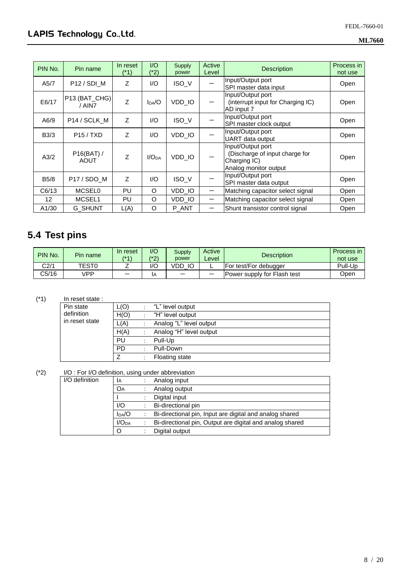| PIN No.     | Pin name                | In reset       | 1/O               | Supply | Active | <b>Description</b>                | Process in |
|-------------|-------------------------|----------------|-------------------|--------|--------|-----------------------------------|------------|
|             |                         | (*1)           | (*2)              | power  | Level  |                                   | not use    |
| A5/7        | P <sub>12</sub> / SDI M | Z              | 1/O               | ISO V  |        | Input/Output port                 | Open       |
|             |                         |                |                   |        |        | SPI master data input             |            |
|             |                         |                |                   |        |        | Input/Output port                 |            |
| E6/17       | P13 (BAT_CHG)<br>/ AIN7 | Z              | $I_{DA}/O$        | VDD IO |        | (interrupt input for Charging IC) | Open       |
|             |                         |                |                   |        |        | AD input 7                        |            |
| A6/9        |                         | $\overline{z}$ | 1/O               | ISO_V  |        | Input/Output port                 |            |
|             | P14 / SCLK_M            |                |                   |        |        | SPI master clock output           | Open       |
|             |                         | Z              | 1/O               |        |        | Input/Output port                 |            |
| B3/3        | P15/TXD                 |                |                   | VDD IO |        | <b>UART</b> data output           | Open       |
|             |                         |                |                   |        |        | Input/Output port                 |            |
| A3/2        | $P16(BAT)$ /            | $\overline{z}$ | I/O <sub>DA</sub> | VDD IO |        | (Discharge of input charge for    |            |
|             | AOUT                    |                |                   |        |        | Charging IC)                      | Open       |
|             |                         |                |                   |        |        | Analog monitor output             |            |
| <b>B5/8</b> | P17 / SDO_M             | Z              | 1/O               |        |        | Input/Output port                 |            |
|             |                         |                |                   | ISO_V  |        | SPI master data output            | Open       |
| C6/13       | <b>MCSEL0</b>           | PU             | O                 | VDD_IO |        | Matching capacitor select signal  | Open       |
| 12          | MCSEL1                  | PU             | O                 | VDD_IO | —      | Matching capacitor select signal  | Open       |
| A1/30       | <b>G SHUNT</b>          | L(A)           | O                 | P ANT  | —      | Shunt transistor control signal   | Open       |

# **5.4 Test pins**

| PIN No.          | Pin name     | In reset<br>$(*1)$ | 1/O<br>(*2) | <b>Supply</b><br>power | Active<br>∟evel | <b>Description</b>          | Process in<br>not use |
|------------------|--------------|--------------------|-------------|------------------------|-----------------|-----------------------------|-----------------------|
| C <sub>2/1</sub> | <b>TEST0</b> |                    | l/C         | VDD<br>IC              | -               | For test/For debugger       | Pull-Up               |
| C5/16            | ∨PP          |                    | ΙA          |                        |                 | Power supply for Flash test | Open                  |

#### (\*1) In reset state :

| Pin state<br>definition<br>in reset state | L(O)      | "L" level output        |
|-------------------------------------------|-----------|-------------------------|
|                                           | H(O)      | "H" level output        |
|                                           | L(A)      | Analog "L" level output |
|                                           | H(A)      | Analog "H" level output |
|                                           | PU        | Pull-Up                 |
|                                           | <b>PD</b> | Pull-Down               |
|                                           |           | <b>Floating state</b>   |

#### (\*2) I/O : For I/O definition, using under abbreviation

| I/O definition | <b>IA</b>         | Analog input                                             |
|----------------|-------------------|----------------------------------------------------------|
|                | OА                | Analog output                                            |
|                |                   | Digital input                                            |
|                | 1/O               | Bi-directional pin                                       |
|                | $I_{DA}/O$        | Bi-directional pin, Input are digital and analog shared  |
|                | I/O <sub>DA</sub> | Bi-directional pin, Output are digital and analog shared |
|                |                   | Digital output                                           |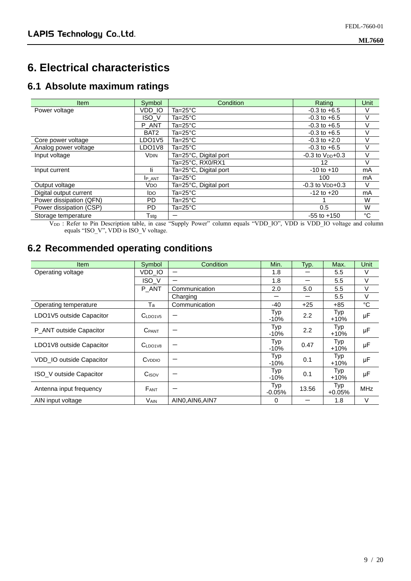### **6. Electrical characteristics**

#### **6.1 Absolute maximum ratings**

| <b>Item</b>             | Symbol           | Condition             | Rating                 | <b>Unit</b> |
|-------------------------|------------------|-----------------------|------------------------|-------------|
| Power voltage           | VDD IO           | Ta= $25^{\circ}$ C    | $-0.3$ to $+6.5$       | V           |
|                         | <b>ISO V</b>     | Ta=25 $^{\circ}$ C    | $-0.3$ to $+6.5$       | V           |
|                         | P ANT            | $Ta=25^{\circ}C$      | $-0.3$ to $+6.5$       | V           |
|                         | BAT <sub>2</sub> | Ta=25°C               | $-0.3$ to $+6.5$       |             |
| Core power voltage      | LDO1V5           | Ta=25°C               | $-0.3$ to $+2.0$       | V           |
| Analog power voltage    | LDO1V8           | Ta=25 $^{\circ}$ C    | $-0.3$ to $+6.5$       | V           |
| Input voltage           | <b>VDIN</b>      | Ta=25°C, Digital port | $-0.3$ to $V_{DD}+0.3$ | v           |
|                         |                  | Ta=25°C, RX0/RX1      | 12                     | V           |
| Input current           | li.              | Ta=25°C, Digital port | $-10$ to $+10$         | mA          |
|                         | <b>IP ANT</b>    | Ta=25°C               | 100                    | mA          |
| Output voltage          | V <sub>DO</sub>  | Ta=25°C, Digital port | $-0.3$ to $VDD+0.3$    | V           |
| Digital output current  | ldo.             | Ta=25°C               | $-12$ to $+20$         | mA          |
| Power dissipation (QFN) | PD.              | Ta=25 $^{\circ}$ C    |                        | W           |
| Power dissipation (CSP) | PD.              | Ta=25 $^{\circ}$ C    | 0.5                    | W           |
| Storage temperature     | $\mathsf{T}$ stg |                       | $-55$ to $+150$        | °C          |

V<sub>DD</sub>: Refer to Pin Description table, in case "Supply Power" column equals "VDD\_IO", VDD is VDD\_IO voltage and column equals "ISO\_V", VDD is ISO\_V voltage.

### **6.2 Recommended operating conditions**

| <b>Item</b>              | Symbol                    | Condition      | Min.            | Typ.  | Max.            | Unit       |
|--------------------------|---------------------------|----------------|-----------------|-------|-----------------|------------|
| Operating voltage        | VDD_IO                    | —              | 1.8             |       | 5.5             | V          |
|                          | ISO_V                     | —              | 1.8             |       | 5.5             | V          |
|                          | P_ANT                     | Communication  | 2.0             | 5.0   | 5.5             | V          |
|                          |                           | Charging       |                 | –     | 5.5             | V          |
| Operating temperature    | Ta                        | Communication  | -40             | $+25$ | +85             | °C         |
| LDO1V5 outside Capacitor | C <sub>LDO1V5</sub>       |                | Typ<br>-10%     | 2.2   | Typ<br>$+10%$   | μF         |
| P_ANT outside Capacitor  | <b>C</b> PANT             |                | Typ<br>$-10%$   | 2.2   | Typ<br>$+10%$   | μF         |
| LDO1V8 outside Capacitor | C <sub>LDO1V8</sub>       |                | Typ<br>$-10%$   | 0.47  | Typ<br>$+10%$   | μF         |
| VDD IO outside Capacitor | <b>C</b> <sub>VDDIO</sub> |                | Typ<br>$-10%$   | 0.1   | Typ<br>$+10%$   | μF         |
| ISO V outside Capacitor  | C <sub>ISOV</sub>         |                | Typ<br>$-10%$   | 0.1   | Typ<br>$+10%$   | μF         |
| Antenna input frequency  | <b>FANT</b>               |                | Typ<br>$-0.05%$ | 13.56 | Typ<br>$+0.05%$ | <b>MHz</b> |
| AIN input voltage        | <b>VAIN</b>               | AINO.AIN6.AIN7 | 0               |       | 1.8             | V          |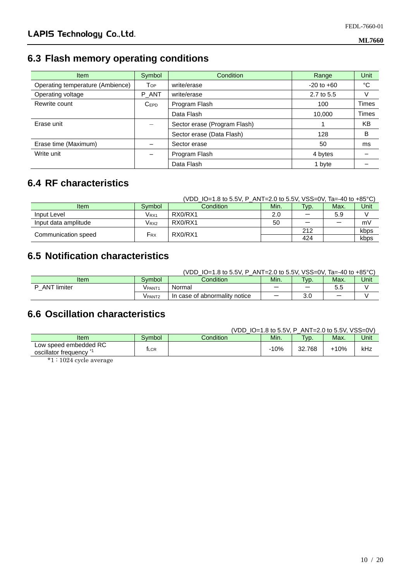### **6.3 Flash memory operating conditions**

| Item                             | Symbol           | <b>Condition</b>             | Range          | Unit  |
|----------------------------------|------------------|------------------------------|----------------|-------|
| Operating temperature (Ambience) | Top              | write/erase                  | $-20$ to $+60$ | °C    |
| Operating voltage                | P ANT            | write/erase                  | 2.7 to 5.5     | V     |
| Rewrite count                    | C <sub>EPD</sub> | Program Flash                | 100            | Times |
|                                  |                  | Data Flash                   | 10,000         | Times |
| Erase unit                       |                  | Sector erase (Program Flash) |                | KB    |
|                                  |                  | Sector erase (Data Flash)    | 128            | B     |
| Erase time (Maximum)             |                  | Sector erase                 | 50             | ms    |
| Write unit                       |                  | Program Flash                | 4 bytes        |       |
|                                  |                  | Data Flash                   | 1 byte         |       |

### **6.4 RF characteristics**

|                      |                  | (VDD IO=1.8 to 5.5V, P ANT=2.0 to 5.5V, VSS=0V, Ta=-40 to +85 °C) |      |      |      |      |
|----------------------|------------------|-------------------------------------------------------------------|------|------|------|------|
| <b>Item</b>          | Symbol           | Condition                                                         | Min. | Typ. | Max. | Unit |
| Input Level          | Vrx1             | RX0/RX1                                                           | 2.0  | —    | 5.9  |      |
| Input data amplitude | V <sub>RX2</sub> | RX0/RX1                                                           | 50   |      |      | mV   |
| Communication speed  |                  | RX0/RX1                                                           |      | 212  |      | kbps |
|                      | Frx              |                                                                   |      | 424  |      | kbps |

### **6.5 Notification characteristics**

|                    |         | $LO=1.8$ to 5.5V, P_ANT=2.0 to 5.5V, VSS=0V, Ta=-40 to +85 °C)<br>'VDD |      |                   |      |      |
|--------------------|---------|------------------------------------------------------------------------|------|-------------------|------|------|
| Item               | Symbol  | Condition                                                              | Min. | T <sub>VD</sub> . | Max. | Unit |
| <b>ANT</b> limiter | V PANT1 | Normal                                                                 |      | -                 | 5.5  |      |
|                    | V PANT2 | In case of abnormality notice                                          |      | 3.C               | –    |      |

### **6.6 Oscillation characteristics**

| (VDD_IO=1.8 to 5.5V, P_ANT=2.0 to 5.5V, VSS=0V) |  |
|-------------------------------------------------|--|
|                                                 |  |

| Item                                          | Symbol | Condition | Min.   | $TVD$ .        | Max.   | Unit |
|-----------------------------------------------|--------|-----------|--------|----------------|--------|------|
| Low speed embedded RC<br>oscillator frequency | 「LCR   |           | $-10%$ | 32.768<br>ר כי | $-10%$ | kHz  |

\*1 : 1024 cycle average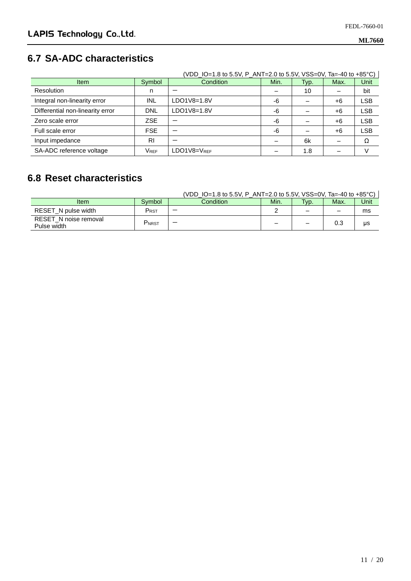### **6.7 SA-ADC characteristics**

|                                  |            | (VDD_IO=1.8 to 5.5V, P_ANT=2.0 to 5.5V, VSS=0V, Ta=-40 to +85°C) |      |      |      |            |
|----------------------------------|------------|------------------------------------------------------------------|------|------|------|------------|
| <b>Item</b>                      | Symbol     | Condition                                                        | Min. | Typ. | Max. | Unit       |
| <b>Resolution</b>                | n          |                                                                  |      | 10   |      | bit        |
| Integral non-linearity error     | INL        | LDO1V8=1.8V                                                      | -6   |      | +6   | <b>LSB</b> |
| Differential non-linearity error | <b>DNL</b> | LDO1V8=1.8V                                                      | -6   |      | +6   | <b>LSB</b> |
| Zero scale error                 | <b>ZSE</b> |                                                                  | -6   |      | +6   | <b>LSB</b> |
| Full scale error                 | <b>FSE</b> |                                                                  | -6   |      | +6   | <b>LSB</b> |
| Input impedance                  | <b>RI</b>  |                                                                  |      | 6k   |      | Ω          |
| SA-ADC reference voltage         | VREF       | $LDO1V8=V_{RFF}$                                                 |      | 1.8  |      |            |

### **6.8 Reset characteristics**

|                                      |                              | (VDD IO=1.8 to 5.5V, P ANT=2.0 to 5.5V, VSS=0V, Ta=-40 to +85 °C) |      |                          |      |      |
|--------------------------------------|------------------------------|-------------------------------------------------------------------|------|--------------------------|------|------|
| <b>Item</b>                          | Symbol                       | <b>Condition</b>                                                  | Min. | Typ.                     | Max. | Unit |
| RESET N pulse width                  | PRST                         |                                                                   |      | $\overline{\phantom{0}}$ |      | ms   |
| RESET_N noise removal<br>Pulse width | $\mathsf{P}_{\mathsf{NRST}}$ |                                                                   | -    | $\overline{\phantom{0}}$ | 0.3  | μs   |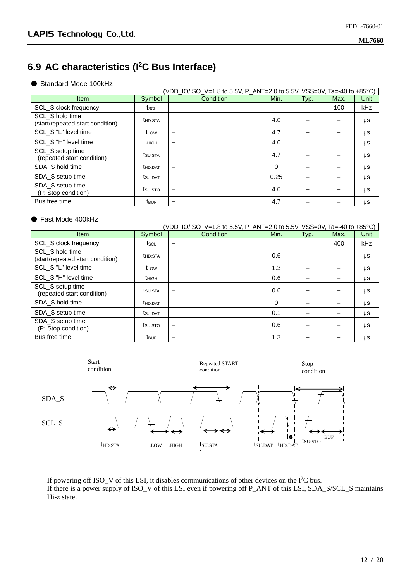### **6.9 AC characteristics (I<sup>2</sup>C Bus Interface)**

● Standard Mode 100kHz

| <b>Item</b>                                         | Symbol           | Condition                | Min. | Typ. | Max. | Unit |
|-----------------------------------------------------|------------------|--------------------------|------|------|------|------|
| <b>SCL S clock frequency</b>                        | fsc∟             | $\overline{\phantom{a}}$ |      |      | 100  | kHz  |
| SCL S hold time<br>(start/repeated start condition) | <b>t</b> HD:STA  |                          | 4.0  |      |      | μs   |
| SCL_S "L" level time                                | t <sub>LOW</sub> | $\overline{\phantom{m}}$ | 4.7  |      |      | μs   |
| SCL S "H" level time                                | thigh            | $\overline{\phantom{m}}$ | 4.0  |      |      | μs   |
| SCL_S setup time<br>(repeated start condition)      | tsu:sta          |                          | 4.7  |      |      | μs   |
| SDA S hold time                                     | <b>t</b> HD:DAT  | $\overline{\phantom{m}}$ | 0    |      |      | μs   |
| SDA_S setup time                                    | tsu:DAT          |                          | 0.25 |      |      | μs   |
| SDA S setup time<br>(P: Stop condition)             | tsu:sto          |                          | 4.0  |      |      | μs   |
| Bus free time                                       | <b>t</b> BUF     | $\overline{\phantom{0}}$ | 4.7  |      |      | μs   |

#### ● Fast Mode 400kHz

| (VDD_IO/ISO_V=1.8 to 5.5V, P_ANT=2.0 to 5.5V, VSS=0V, Ta=-40 to +85°C) |                         |                          |      |      |      |            |
|------------------------------------------------------------------------|-------------------------|--------------------------|------|------|------|------------|
| <b>Item</b>                                                            | Symbol                  | Condition                | Min. | Typ. | Max. | Unit       |
| <b>SCL_S clock frequency</b>                                           | fscL                    | $\overline{\phantom{m}}$ |      |      | 400  | <b>kHz</b> |
| SCL S hold time<br>(start/repeated start condition)                    | <b>t</b> HD:STA         | -                        | 0.6  |      |      | μs         |
| SCL S "L" level time                                                   | t <sub>LOW</sub>        | -                        | 1.3  |      |      | μs         |
| SCL_S "H" level time                                                   | t <sub>HIGH</sub>       | $\overline{\phantom{0}}$ | 0.6  |      |      | μs         |
| SCL S setup time<br>(repeated start condition)                         | tsu:sta                 | -                        | 0.6  |      |      | μs         |
| SDA S hold time                                                        | t <sub>HD:DAT</sub>     | $\qquad \qquad -$        | 0    |      |      | μs         |
| SDA_S setup time                                                       | tsu:DAT                 | -                        | 0.1  |      |      | μs         |
| SDA_S setup time<br>(P: Stop condition)                                | tsu:sto                 | —                        | 0.6  |      |      | μs         |
| Bus free time                                                          | <b>t</b> <sub>BUF</sub> | $\overline{\phantom{0}}$ | 1.3  |      |      | μs         |



If powering off ISO\_V of this LSI, it disables communications of other devices on the I<sup>2</sup>C bus. If there is a power supply of ISO\_V of this LSI even if powering off P\_ANT of this LSI, SDA\_S/SCL\_S maintains Hi-z state.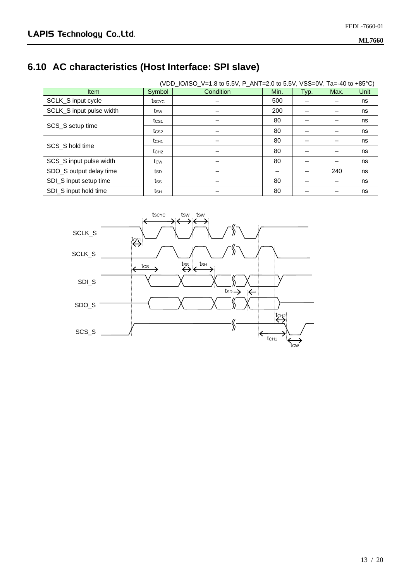# **6.10 AC characteristics (Host Interface: SPI slave)**

| (VDD_IO/ISO_V=1.8 to 5.5V, P_ANT=2.0 to 5.5V, VSS=0V, Ta=-40 to +85°C) |                  |           |      |      |      |      |
|------------------------------------------------------------------------|------------------|-----------|------|------|------|------|
| <b>Item</b>                                                            | Symbol           | Condition | Min. | Typ. | Max. | Unit |
| SCLK_S input cycle                                                     | tscyc            |           | 500  |      |      | ns   |
| SCLK_S input pulse width                                               | tsw              |           | 200  |      |      | ns   |
|                                                                        | t <sub>CS1</sub> |           | 80   |      |      | ns   |
| SCS_S setup time                                                       | tcs2             |           | 80   |      |      | ns   |
|                                                                        | t <sub>CH1</sub> |           | 80   |      |      | ns   |
| SCS S hold time                                                        | t <sub>CH2</sub> |           | 80   |      |      | ns   |
| SCS_S input pulse width                                                | tcw              |           | 80   |      |      | ns   |
| SDO_S output delay time                                                | tsp              |           |      |      | 240  | ns   |
| SDI_S input setup time                                                 | tss              |           | 80   |      |      | ns   |
| SDI_S input hold time                                                  | tsн              |           | 80   |      |      | ns   |

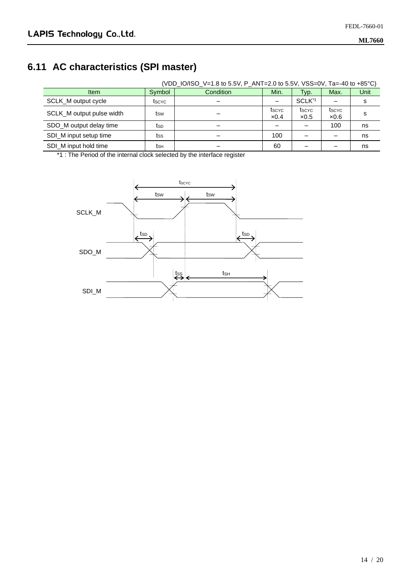### **6.11 AC characteristics (SPI master)**

|                           |        | (VDD_IO/ISO_V=1.8 to 5.5V, P_ANT=2.0 to 5.5V, VSS=0V, Ta=-40 to +85°C) |                       |                       |               |      |
|---------------------------|--------|------------------------------------------------------------------------|-----------------------|-----------------------|---------------|------|
| <b>Item</b>               | Symbol | Condition                                                              | Min.                  | Typ.                  | Max.          | Unit |
| SCLK_M output cycle       | tscyc  |                                                                        |                       | SCLK <sup>*1</sup>    |               | s    |
| SCLK_M output pulse width | tsw    |                                                                        | tscyc<br>$\times 0.4$ | tscyc<br>$\times 0.5$ | tscyc<br>x0.6 | s    |
| SDO_M output delay time   | tsp    |                                                                        |                       |                       | 100           | ns   |
| SDI_M input setup time    | tss    |                                                                        | 100                   |                       |               | ns   |
| SDI M input hold time     | tsн    |                                                                        | 60                    |                       |               | ns   |

\*1 : The Period of the internal clock selected by the interface register

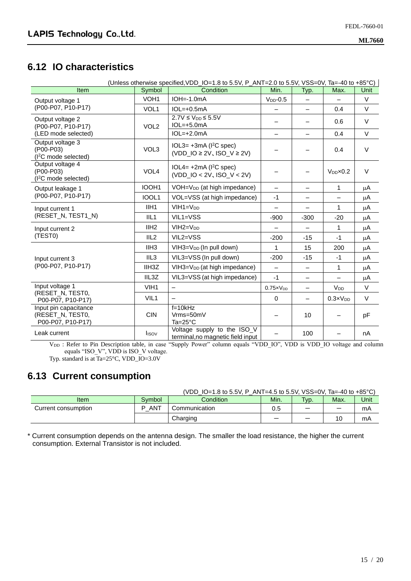#### **6.12 IO characteristics**

| (Unless otherwise specified, VDD_IO=1.8 to 5.5V, P_ANT=2.0 to 5.5V, VSS=0V, Ta=-40 to +85°C) |                    |                                                                                           |                          |                          |                          |         |
|----------------------------------------------------------------------------------------------|--------------------|-------------------------------------------------------------------------------------------|--------------------------|--------------------------|--------------------------|---------|
| Item                                                                                         | Symbol             | Condition                                                                                 | Min.                     | Typ.                     | Max.                     | Unit    |
| Output voltage 1                                                                             | VOH <sub>1</sub>   | $IOH = -1.0mA$                                                                            | $VDD - 0.5$              |                          |                          | V       |
| (P00-P07, P10-P17)                                                                           | VOL1               | $IOL=+0.5mA$                                                                              |                          |                          | 0.4                      | $\vee$  |
| Output voltage 2<br>(P00-P07, P10-P17)                                                       | VOL <sub>2</sub>   | $2.7V \leq V_{DD} \leq 5.5V$<br>$IOL=+5.0mA$                                              |                          | $\overline{\phantom{0}}$ | 0.6                      | $\vee$  |
| (LED mode selected)                                                                          |                    | $IOL=+2.0mA$                                                                              |                          | $\overline{\phantom{0}}$ | 0.4                      | $\vee$  |
| Output voltage 3<br>(P00-P03)<br>(I <sup>2</sup> C mode selected)                            | VOL3               | $IOL3=+3mA (I2C spec)$<br>$(VDD$ <sub>-</sub> IO $\geq$ 2V, ISO <sub>-</sub> V $\geq$ 2V) |                          | -                        | 0.4                      | $\vee$  |
| Output voltage 4<br>(P00-P03)<br>$(I2C$ mode selected)                                       | VOL <sub>4</sub>   | $IOL4=+2mA (I2C spec)$<br>$(VDD$ IO < 2V, ISO V < 2V)                                     |                          |                          | $V_{DD} \times 0.2$      | $\vee$  |
| Output leakage 1                                                                             | IOOH1              | VOH=V <sub>DD</sub> (at high impedance)                                                   | $\overline{\phantom{0}}$ | $\overline{\phantom{0}}$ | 1                        | μA      |
| (P00-P07, P10-P17)                                                                           | IOOL1              | VOL=VSS (at high impedance)                                                               | $-1$                     |                          | $\overline{\phantom{0}}$ | μA      |
| Input current 1                                                                              | IIH <sub>1</sub>   | $VIH1=VDD$                                                                                |                          |                          | 1                        | μA      |
| (RESET_N, TEST1_N)                                                                           | III <sub>1</sub>   | VIL1=VSS                                                                                  | $-900$                   | $-300$                   | $-20$                    | $\mu$ A |
| Input current 2                                                                              | IIH2               | $VIII = VDD$                                                                              |                          | $\overline{\phantom{0}}$ | 1                        | μA      |
| (TESTO)                                                                                      | IIL <sub>2</sub>   | VIL2=VSS                                                                                  | $-200$                   | $-15$                    | $-1$                     | μA      |
|                                                                                              | IIH3               | VIH3=V <sub>DD</sub> (In pull down)                                                       | 1                        | 15                       | 200                      | μA      |
| Input current 3                                                                              | IIL3               | VIL3=VSS (In pull down)                                                                   | $-200$                   | $-15$                    | $-1$                     | μA      |
| (P00-P07, P10-P17)                                                                           | IIH <sub>3</sub> Z | VIH3=V <sub>DD</sub> (at high impedance)                                                  | $\overline{\phantom{m}}$ | $\overline{\phantom{0}}$ | 1                        | μA      |
|                                                                                              | IIL3Z              | VIL3=VSS (at high impedance)                                                              | $-1$                     | $\overline{\phantom{0}}$ |                          | $\mu$ A |
| Input voltage 1                                                                              | VIH <sub>1</sub>   | $\overline{\phantom{m}}$                                                                  | $0.75 \times V_{DD}$     |                          | V <sub>DD</sub>          | $\vee$  |
| (RESET_N, TEST0,<br>P00-P07, P10-P17)                                                        | VIL <sub>1</sub>   |                                                                                           | $\Omega$                 | $\overline{\phantom{0}}$ | $0.3 \times V_{DD}$      | $\vee$  |
| Input pin capacitance<br>(RESET_N, TEST0,<br>P00-P07, P10-P17)                               | <b>CIN</b>         | $f=10kHz$<br>Vrms=50mV<br>$Ta=25^{\circ}C$                                                |                          | 10                       |                          | pF      |
| Leak current                                                                                 | <b>l</b> isov      | Voltage supply to the ISO_V<br>terminal, no magnetic field input                          |                          | 100                      |                          | nA      |

V<sub>DD</sub>: Refer to Pin Description table, in case "Supply Power" column equals "VDD\_IO", VDD is VDD\_IO voltage and column equals "ISO\_V", VDD is ISO\_V voltage.

Typ. standard is at Ta=25°C, VDD\_IO=3.0V

#### **6.13 Current consumption**

|  | (VDD_IO=1.8 to 5.5V, P_ANT=4.5 to 5.5V, VSS=0V, Ta=-40 to +85 °C) |
|--|-------------------------------------------------------------------|
|  |                                                                   |

| Item                | Symbol                    | Condition     | Min. | 'yp. | Max. | Unit |
|---------------------|---------------------------|---------------|------|------|------|------|
| Current consumption | $\overline{N}$<br>D<br>AN | Communication |      |      |      | mA   |
|                     |                           | Charging      |      | –    | U    | mA   |

\* Current consumption depends on the antenna design. The smaller the load resistance, the higher the current consumption. External Transistor is not included.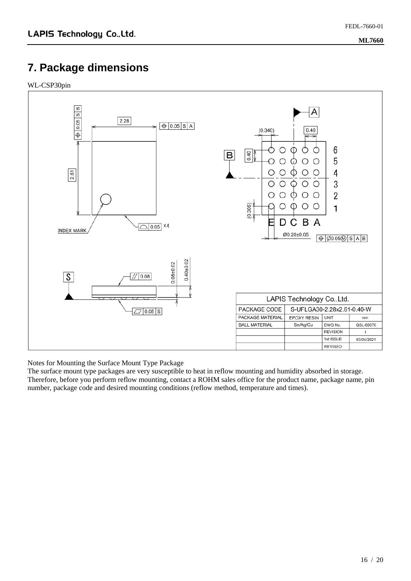### **7. Package dimensions**

WL-CSP30pin



Notes for Mounting the Surface Mount Type Package

The surface mount type packages are very susceptible to heat in reflow mounting and humidity absorbed in storage. Therefore, before you perform reflow mounting, contact a ROHM sales office for the product name, package name, pin number, package code and desired mounting conditions (reflow method, temperature and times).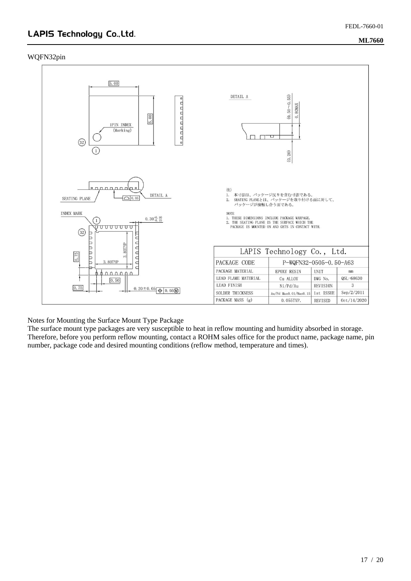#### WQFN32pin



Notes for Mounting the Surface Mount Type Package

The surface mount type packages are very susceptible to heat in reflow mounting and humidity absorbed in storage. Therefore, before you perform reflow mounting, contact a ROHM sales office for the product name, package name, pin number, package code and desired mounting conditions (reflow method, temperature and times).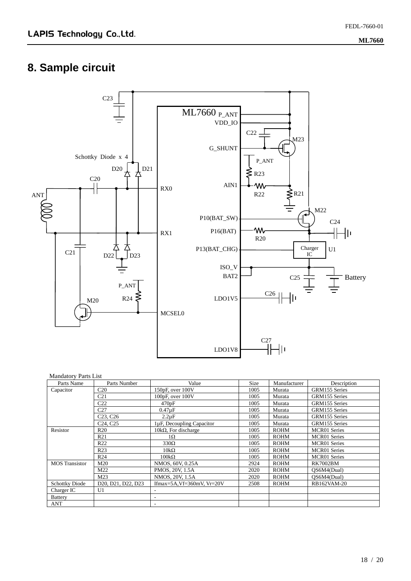# **8. Sample circuit**



#### Mandatory Parts List

| Parts Name            | Parts Number                                                          | Value                       | Size | Manufacturer | Description         |
|-----------------------|-----------------------------------------------------------------------|-----------------------------|------|--------------|---------------------|
| Capacitor             | C <sub>20</sub>                                                       | 150pF, over 100V            | 1005 | Murata       | GRM155 Series       |
|                       | C <sub>21</sub>                                                       | $100pF$ , over $100V$       | 1005 | Murata       | GRM155 Series       |
|                       | C <sub>22</sub>                                                       | 470pF                       | 1005 | Murata       | GRM155 Series       |
|                       | C <sub>27</sub>                                                       | $0.47\mu F$                 | 1005 | Murata       | GRM155 Series       |
|                       | C <sub>23</sub> , C <sub>26</sub>                                     | $2.2\mu F$                  | 1005 | Murata       | GRM155 Series       |
|                       | C <sub>24</sub> , C <sub>25</sub>                                     | 1µF, Decoupling Capacitor   | 1005 | Murata       | GRM155 Series       |
| Resistor              | R <sub>20</sub>                                                       | $10k\Omega$ , For discharge | 1005 | <b>ROHM</b>  | <b>MCR01</b> Series |
|                       | R <sub>21</sub>                                                       | 1Ω                          | 1005 | <b>ROHM</b>  | <b>MCR01</b> Series |
|                       | R <sub>22</sub>                                                       | 330Ω                        | 1005 | <b>ROHM</b>  | <b>MCR01</b> Series |
|                       | R <sub>23</sub>                                                       | $10k\Omega$                 | 1005 | <b>ROHM</b>  | <b>MCR01</b> Series |
|                       | R24                                                                   | $100k\Omega$                | 1005 | <b>ROHM</b>  | <b>MCR01</b> Series |
| <b>MOS</b> Transistor | M <sub>20</sub>                                                       | NMOS, 60V, 0.25A            | 2924 | <b>ROHM</b>  | <b>RK7002BM</b>     |
|                       | M22                                                                   | PMOS, 20V, 1.5A             | 2020 | <b>ROHM</b>  | OS6M4(Dual)         |
|                       | M23                                                                   | NMOS, 20V, 1.5A             | 2020 | <b>ROHM</b>  | OS6M4(Dual)         |
| <b>Schottky Diode</b> | D <sub>20</sub> , D <sub>21</sub> , D <sub>22</sub> , D <sub>23</sub> | Ifmax=5A,Vf=360mV, Vr=20V   | 2508 | <b>ROHM</b>  | RB162VAM-20         |
| Charger IC            | U <sub>1</sub>                                                        |                             |      |              |                     |
| <b>Battery</b>        |                                                                       | ٠                           |      |              |                     |
| ANT                   |                                                                       | $\overline{\phantom{a}}$    |      |              |                     |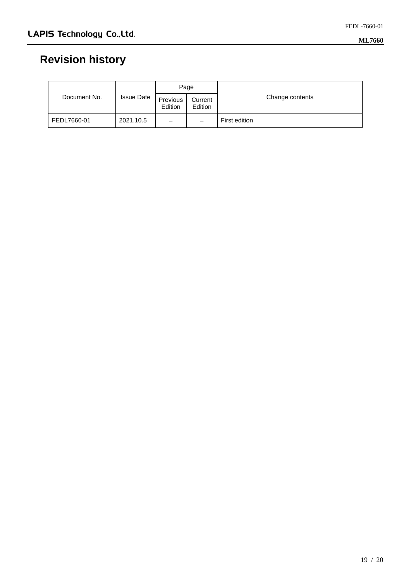# **Revision history**

| Document No. | <b>Issue Date</b> | Page                |                    |                 |  |
|--------------|-------------------|---------------------|--------------------|-----------------|--|
|              |                   | Previous<br>Edition | Current<br>Edition | Change contents |  |
| FEDL7660-01  | 2021.10.5         | -                   | —                  | First edition   |  |